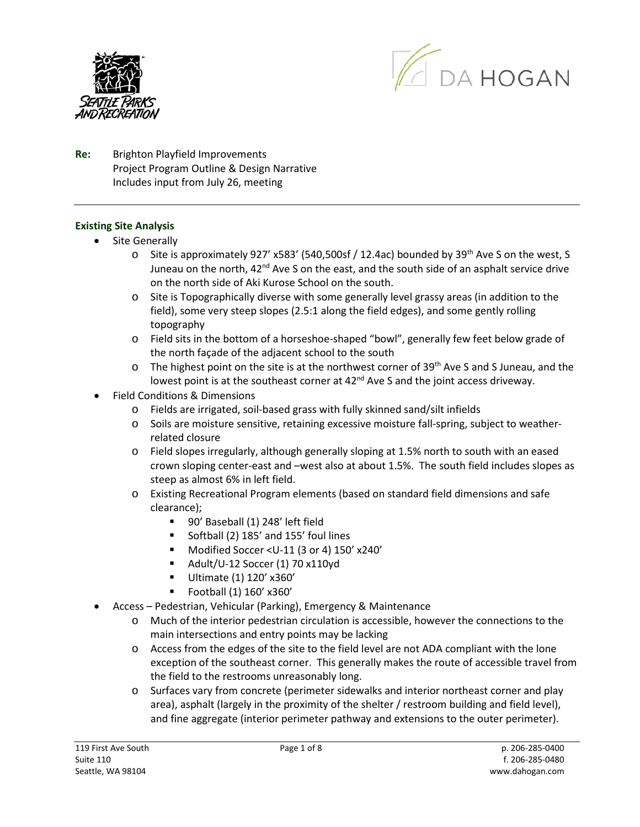



**Re:** Brighton Playfield Improvements Project Program Outline & Design Narrative Includes input from July 26, meeting

#### **Existing Site Analysis**

- Site Generally
	- $\circ$  Site is approximately 927' x583' (540,500sf / 12.4ac) bounded by 39<sup>th</sup> Ave S on the west, S Juneau on the north,  $42<sup>nd</sup>$  Ave S on the east, and the south side of an asphalt service drive on the north side of Aki Kurose School on the south.
	- o Site is Topographically diverse with some generally level grassy areas (in addition to the field), some very steep slopes (2.5:1 along the field edges), and some gently rolling topography
	- o Field sits in the bottom of a horseshoe-shaped "bowl", generally few feet below grade of the north façade of the adjacent school to the south
	- o The highest point on the site is at the northwest corner of 39<sup>th</sup> Ave S and S Juneau, and the lowest point is at the southeast corner at 42<sup>nd</sup> Ave S and the joint access driveway.
- Field Conditions & Dimensions
	- o Fields are irrigated, soil-based grass with fully skinned sand/silt infields
	- o Soils are moisture sensitive, retaining excessive moisture fall-spring, subject to weatherrelated closure
	- o Field slopes irregularly, although generally sloping at 1.5% north to south with an eased crown sloping center-east and –west also at about 1.5%. The south field includes slopes as steep as almost 6% in left field.
	- o Existing Recreational Program elements (based on standard field dimensions and safe clearance);
		- 90' Baseball (1) 248' left field
		- Softball (2) 185' and 155' foul lines
		- Modified Soccer <U-11 (3 or 4) 150' x240'
		- $\blacksquare$  Adult/U-12 Soccer (1) 70 x110yd
		- Ultimate (1) 120' x360'
		- Football (1) 160' x360'
- Access Pedestrian, Vehicular (Parking), Emergency & Maintenance
	- o Much of the interior pedestrian circulation is accessible, however the connections to the main intersections and entry points may be lacking
	- o Access from the edges of the site to the field level are not ADA compliant with the lone exception of the southeast corner. This generally makes the route of accessible travel from the field to the restrooms unreasonably long.
	- o Surfaces vary from concrete (perimeter sidewalks and interior northeast corner and play area), asphalt (largely in the proximity of the shelter / restroom building and field level), and fine aggregate (interior perimeter pathway and extensions to the outer perimeter).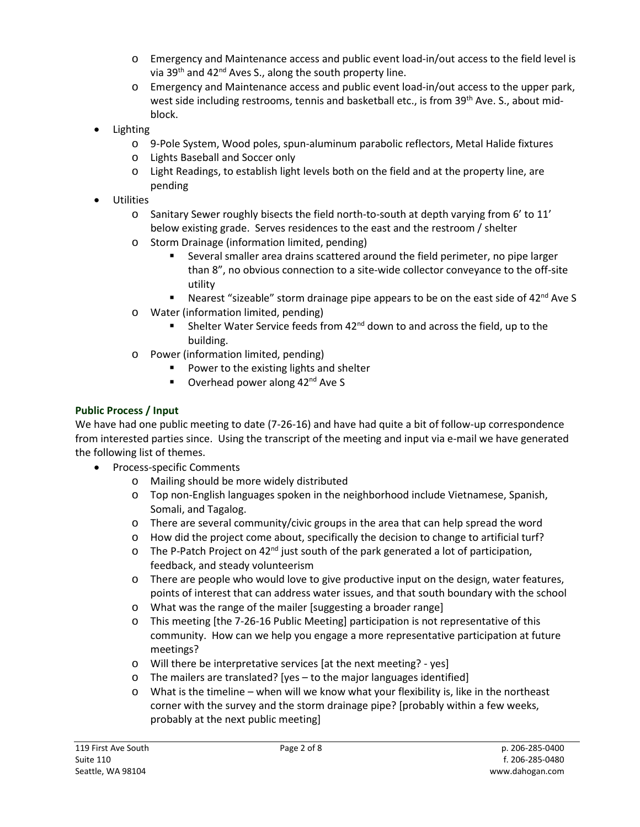- o Emergency and Maintenance access and public event load-in/out access to the field level is via 39<sup>th</sup> and 42<sup>nd</sup> Aves S., along the south property line.
- o Emergency and Maintenance access and public event load-in/out access to the upper park, west side including restrooms, tennis and basketball etc., is from 39<sup>th</sup> Ave. S., about midblock.
- Lighting
	- o 9-Pole System, Wood poles, spun-aluminum parabolic reflectors, Metal Halide fixtures
	- o Lights Baseball and Soccer only
	- o Light Readings, to establish light levels both on the field and at the property line, are pending
- **Utilities** 
	- $\circ$  Sanitary Sewer roughly bisects the field north-to-south at depth varying from 6' to 11' below existing grade. Serves residences to the east and the restroom / shelter
	- o Storm Drainage (information limited, pending)
		- Several smaller area drains scattered around the field perimeter, no pipe larger than 8", no obvious connection to a site-wide collector conveyance to the off-site utility
		- Nearest "sizeable" storm drainage pipe appears to be on the east side of  $42^{nd}$  Ave S
	- o Water (information limited, pending)
		- Shelter Water Service feeds from  $42^{nd}$  down to and across the field, up to the building.
	- o Power (information limited, pending)
		- **Power to the existing lights and shelter**
		- $\blacksquare$  Overhead power along 42<sup>nd</sup> Ave S

# **Public Process / Input**

We have had one public meeting to date (7-26-16) and have had quite a bit of follow-up correspondence from interested parties since. Using the transcript of the meeting and input via e-mail we have generated the following list of themes.

- Process-specific Comments
	- o Mailing should be more widely distributed
	- o Top non-English languages spoken in the neighborhood include Vietnamese, Spanish, Somali, and Tagalog.
	- o There are several community/civic groups in the area that can help spread the word
	- o How did the project come about, specifically the decision to change to artificial turf?
	- $\circ$  The P-Patch Project on 42<sup>nd</sup> just south of the park generated a lot of participation, feedback, and steady volunteerism
	- o There are people who would love to give productive input on the design, water features, points of interest that can address water issues, and that south boundary with the school
	- o What was the range of the mailer [suggesting a broader range]
	- o This meeting [the 7-26-16 Public Meeting] participation is not representative of this community. How can we help you engage a more representative participation at future meetings?
	- o Will there be interpretative services [at the next meeting? yes]
	- o The mailers are translated? [yes to the major languages identified]
	- o What is the timeline when will we know what your flexibility is, like in the northeast corner with the survey and the storm drainage pipe? [probably within a few weeks, probably at the next public meeting]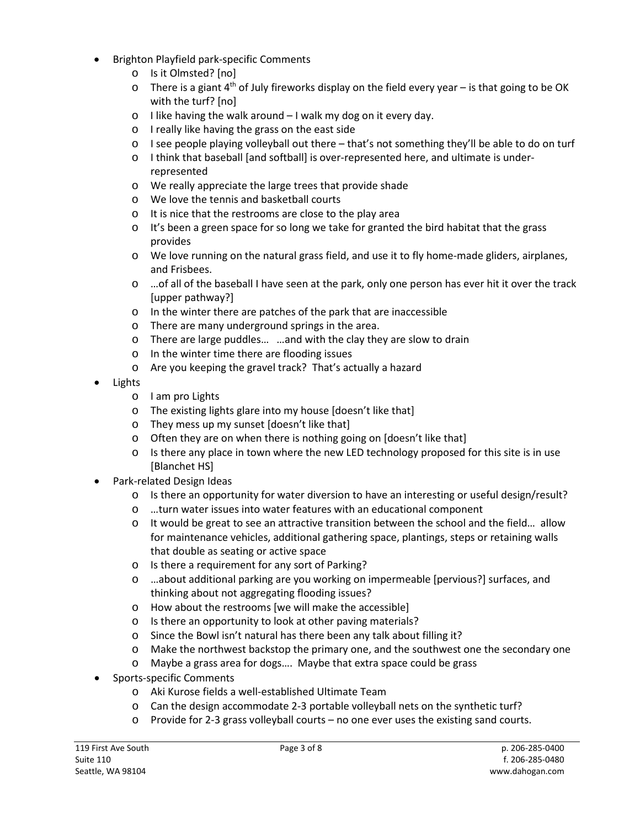- Brighton Playfield park-specific Comments
	- o Is it Olmsted? [no]
	- $\circ$  There is a giant 4<sup>th</sup> of July fireworks display on the field every year is that going to be OK with the turf? [no]
	- o I like having the walk around I walk my dog on it every day.
	- o I really like having the grass on the east side
	- o I see people playing volleyball out there that's not something they'll be able to do on turf
	- o I think that baseball [and softball] is over-represented here, and ultimate is underrepresented
	- o We really appreciate the large trees that provide shade
	- o We love the tennis and basketball courts
	- o It is nice that the restrooms are close to the play area
	- $\circ$  It's been a green space for so long we take for granted the bird habitat that the grass provides
	- $\circ$  We love running on the natural grass field, and use it to fly home-made gliders, airplanes, and Frisbees.
	- o …of all of the baseball I have seen at the park, only one person has ever hit it over the track [upper pathway?]
	- o In the winter there are patches of the park that are inaccessible
	- o There are many underground springs in the area.
	- o There are large puddles… …and with the clay they are slow to drain
	- o In the winter time there are flooding issues
	- o Are you keeping the gravel track? That's actually a hazard
- Lights
	- o I am pro Lights
	- o The existing lights glare into my house [doesn't like that]
	- o They mess up my sunset [doesn't like that]
	- o Often they are on when there is nothing going on [doesn't like that]
	- $\circ$  Is there any place in town where the new LED technology proposed for this site is in use [Blanchet HS]
- Park-related Design Ideas
	- o Is there an opportunity for water diversion to have an interesting or useful design/result?
	- o …turn water issues into water features with an educational component
	- $\circ$  It would be great to see an attractive transition between the school and the field... allow for maintenance vehicles, additional gathering space, plantings, steps or retaining walls that double as seating or active space
	- o Is there a requirement for any sort of Parking?
	- o …about additional parking are you working on impermeable [pervious?] surfaces, and thinking about not aggregating flooding issues?
	- o How about the restrooms [we will make the accessible]
	- o Is there an opportunity to look at other paving materials?
	- o Since the Bowl isn't natural has there been any talk about filling it?
	- o Make the northwest backstop the primary one, and the southwest one the secondary one
	- o Maybe a grass area for dogs…. Maybe that extra space could be grass
- Sports-specific Comments
	- o Aki Kurose fields a well-established Ultimate Team
	- o Can the design accommodate 2-3 portable volleyball nets on the synthetic turf?
	- o Provide for 2-3 grass volleyball courts no one ever uses the existing sand courts.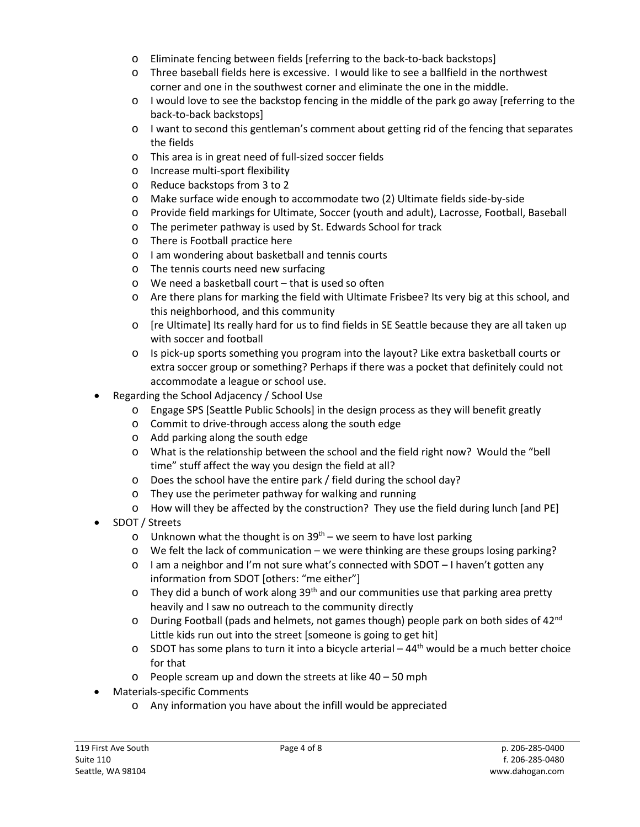- o Eliminate fencing between fields [referring to the back-to-back backstops]
- o Three baseball fields here is excessive. I would like to see a ballfield in the northwest corner and one in the southwest corner and eliminate the one in the middle.
- $\circ$  I would love to see the backstop fencing in the middle of the park go away [referring to the back-to-back backstops]
- o I want to second this gentleman's comment about getting rid of the fencing that separates the fields
- o This area is in great need of full-sized soccer fields
- o Increase multi-sport flexibility
- o Reduce backstops from 3 to 2
- o Make surface wide enough to accommodate two (2) Ultimate fields side-by-side
- o Provide field markings for Ultimate, Soccer (youth and adult), Lacrosse, Football, Baseball
- o The perimeter pathway is used by St. Edwards School for track
- o There is Football practice here
- o I am wondering about basketball and tennis courts
- o The tennis courts need new surfacing
- o We need a basketball court that is used so often
- o Are there plans for marking the field with Ultimate Frisbee? Its very big at this school, and this neighborhood, and this community
- o [re Ultimate] Its really hard for us to find fields in SE Seattle because they are all taken up with soccer and football
- o Is pick-up sports something you program into the layout? Like extra basketball courts or extra soccer group or something? Perhaps if there was a pocket that definitely could not accommodate a league or school use.
- Regarding the School Adjacency / School Use
	- o Engage SPS [Seattle Public Schools] in the design process as they will benefit greatly
	- o Commit to drive-through access along the south edge
	- o Add parking along the south edge
	- o What is the relationship between the school and the field right now? Would the "bell time" stuff affect the way you design the field at all?
	- o Does the school have the entire park / field during the school day?
	- o They use the perimeter pathway for walking and running
	- o How will they be affected by the construction? They use the field during lunch [and PE]
- SDOT / Streets
	- o Unknown what the thought is on  $39<sup>th</sup>$  we seem to have lost parking
	- o We felt the lack of communication we were thinking are these groups losing parking?
	- $\circ$  I am a neighbor and I'm not sure what's connected with SDOT I haven't gotten any information from SDOT [others: "me either"]
	- $\circ$  They did a bunch of work along 39<sup>th</sup> and our communities use that parking area pretty heavily and I saw no outreach to the community directly
	- $\circ$  During Football (pads and helmets, not games though) people park on both sides of 42<sup>nd</sup> Little kids run out into the street [someone is going to get hit]
	- $\circ$  SDOT has some plans to turn it into a bicycle arterial 44<sup>th</sup> would be a much better choice for that
	- o People scream up and down the streets at like 40 50 mph
- Materials-specific Comments
	- o Any information you have about the infill would be appreciated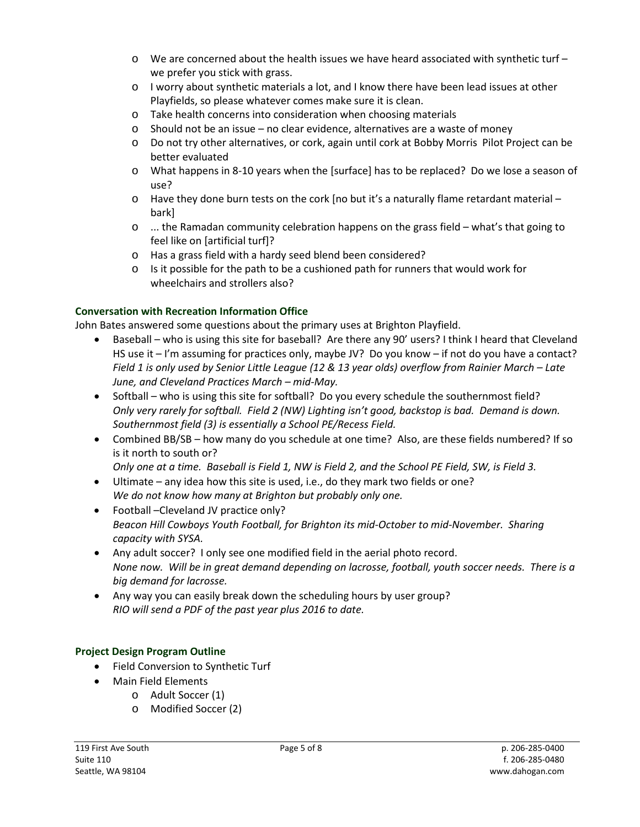- $\circ$  We are concerned about the health issues we have heard associated with synthetic turf we prefer you stick with grass.
- o I worry about synthetic materials a lot, and I know there have been lead issues at other Playfields, so please whatever comes make sure it is clean.
- o Take health concerns into consideration when choosing materials
- o Should not be an issue no clear evidence, alternatives are a waste of money
- o Do not try other alternatives, or cork, again until cork at Bobby Morris Pilot Project can be better evaluated
- o What happens in 8-10 years when the [surface] has to be replaced? Do we lose a season of use?
- $\circ$  Have they done burn tests on the cork [no but it's a naturally flame retardant material bark]
- o ... the Ramadan community celebration happens on the grass field what's that going to feel like on [artificial turf]?
- o Has a grass field with a hardy seed blend been considered?
- $\circ$  Is it possible for the path to be a cushioned path for runners that would work for wheelchairs and strollers also?

## **Conversation with Recreation Information Office**

John Bates answered some questions about the primary uses at Brighton Playfield.

- Baseball who is using this site for baseball? Are there any 90' users? I think I heard that Cleveland HS use it – I'm assuming for practices only, maybe JV? Do you know – if not do you have a contact? *Field 1 is only used by Senior Little League (12 & 13 year olds) overflow from Rainier March – Late June, and Cleveland Practices March – mid-May.*
- Softball who is using this site for softball? Do you every schedule the southernmost field? *Only very rarely for softball. Field 2 (NW) Lighting isn't good, backstop is bad. Demand is down. Southernmost field (3) is essentially a School PE/Recess Field.*
- Combined BB/SB how many do you schedule at one time? Also, are these fields numbered? If so is it north to south or?

*Only one at a time. Baseball is Field 1, NW is Field 2, and the School PE Field, SW, is Field 3.*

- Ultimate any idea how this site is used, i.e., do they mark two fields or one? *We do not know how many at Brighton but probably only one.*
- Football –Cleveland JV practice only? *Beacon Hill Cowboys Youth Football, for Brighton its mid-October to mid-November. Sharing capacity with SYSA.*
- Any adult soccer? I only see one modified field in the aerial photo record. *None now. Will be in great demand depending on lacrosse, football, youth soccer needs. There is a big demand for lacrosse.*
- Any way you can easily break down the scheduling hours by user group? *RIO will send a PDF of the past year plus 2016 to date.*

## **Project Design Program Outline**

- Field Conversion to Synthetic Turf
- Main Field Elements
	- o Adult Soccer (1)
	- o Modified Soccer (2)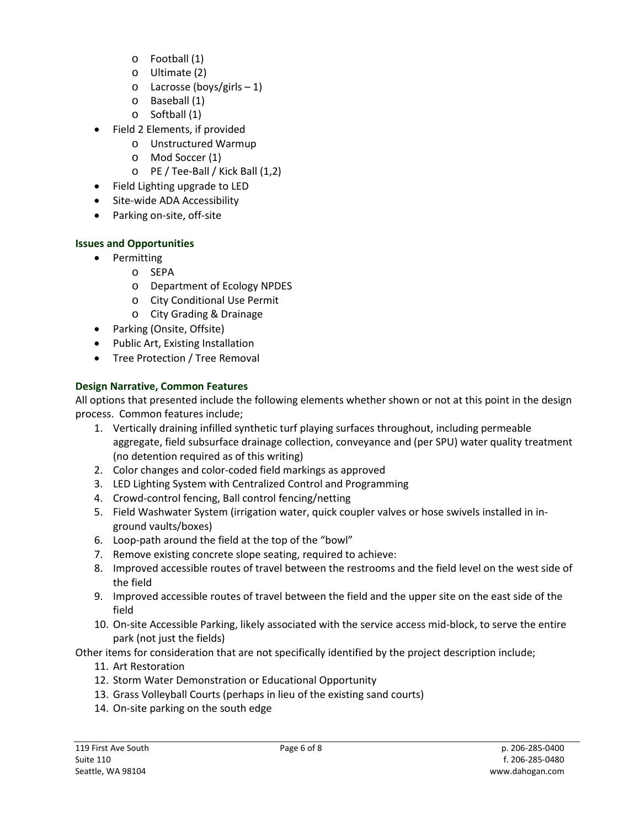- o Football (1)
- o Ultimate (2)
- o Lacrosse (boys/girls 1)
- o Baseball (1)
- o Softball (1)
- Field 2 Elements, if provided
	- o Unstructured Warmup
	- o Mod Soccer (1)
	- o PE / Tee-Ball / Kick Ball (1,2)
- Field Lighting upgrade to LED
- Site-wide ADA Accessibility
- Parking on-site, off-site

# **Issues and Opportunities**

- Permitting
	- o SEPA
	- o Department of Ecology NPDES
	- o City Conditional Use Permit
	- o City Grading & Drainage
- Parking (Onsite, Offsite)
- Public Art, Existing Installation
- Tree Protection / Tree Removal

# **Design Narrative, Common Features**

All options that presented include the following elements whether shown or not at this point in the design process. Common features include;

- 1. Vertically draining infilled synthetic turf playing surfaces throughout, including permeable aggregate, field subsurface drainage collection, conveyance and (per SPU) water quality treatment (no detention required as of this writing)
- 2. Color changes and color-coded field markings as approved
- 3. LED Lighting System with Centralized Control and Programming
- 4. Crowd-control fencing, Ball control fencing/netting
- 5. Field Washwater System (irrigation water, quick coupler valves or hose swivels installed in inground vaults/boxes)
- 6. Loop-path around the field at the top of the "bowl"
- 7. Remove existing concrete slope seating, required to achieve:
- 8. Improved accessible routes of travel between the restrooms and the field level on the west side of the field
- 9. Improved accessible routes of travel between the field and the upper site on the east side of the field
- 10. On-site Accessible Parking, likely associated with the service access mid-block, to serve the entire park (not just the fields)
- Other items for consideration that are not specifically identified by the project description include;
	- 11. Art Restoration
	- 12. Storm Water Demonstration or Educational Opportunity
	- 13. Grass Volleyball Courts (perhaps in lieu of the existing sand courts)
	- 14. On-site parking on the south edge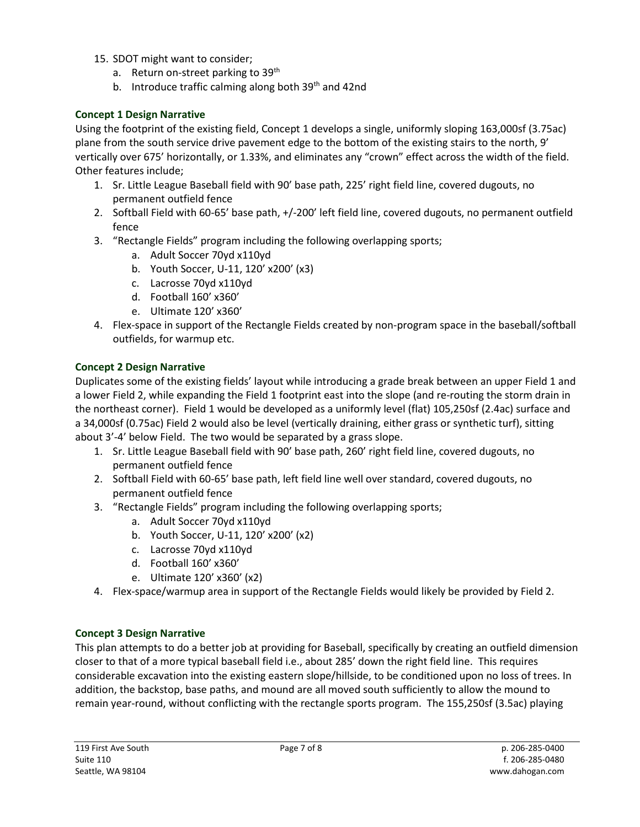- 15. SDOT might want to consider;
	- a. Return on-street parking to 39<sup>th</sup>
	- b. Introduce traffic calming along both 39<sup>th</sup> and 42nd

## **Concept 1 Design Narrative**

Using the footprint of the existing field, Concept 1 develops a single, uniformly sloping 163,000sf (3.75ac) plane from the south service drive pavement edge to the bottom of the existing stairs to the north, 9' vertically over 675' horizontally, or 1.33%, and eliminates any "crown" effect across the width of the field. Other features include;

- 1. Sr. Little League Baseball field with 90' base path, 225' right field line, covered dugouts, no permanent outfield fence
- 2. Softball Field with 60-65' base path, +/-200' left field line, covered dugouts, no permanent outfield fence
- 3. "Rectangle Fields" program including the following overlapping sports;
	- a. Adult Soccer 70yd x110yd
	- b. Youth Soccer, U-11, 120' x200' (x3)
	- c. Lacrosse 70yd x110yd
	- d. Football 160' x360'
	- e. Ultimate 120' x360'
- 4. Flex-space in support of the Rectangle Fields created by non-program space in the baseball/softball outfields, for warmup etc.

#### **Concept 2 Design Narrative**

Duplicates some of the existing fields' layout while introducing a grade break between an upper Field 1 and a lower Field 2, while expanding the Field 1 footprint east into the slope (and re-routing the storm drain in the northeast corner). Field 1 would be developed as a uniformly level (flat) 105,250sf (2.4ac) surface and a 34,000sf (0.75ac) Field 2 would also be level (vertically draining, either grass or synthetic turf), sitting about 3'-4' below Field. The two would be separated by a grass slope.

- 1. Sr. Little League Baseball field with 90' base path, 260' right field line, covered dugouts, no permanent outfield fence
- 2. Softball Field with 60-65' base path, left field line well over standard, covered dugouts, no permanent outfield fence
- 3. "Rectangle Fields" program including the following overlapping sports;
	- a. Adult Soccer 70yd x110yd
	- b. Youth Soccer, U-11, 120' x200' (x2)
	- c. Lacrosse 70yd x110yd
	- d. Football 160' x360'
	- e. Ultimate 120' x360' (x2)
- 4. Flex-space/warmup area in support of the Rectangle Fields would likely be provided by Field 2.

#### **Concept 3 Design Narrative**

This plan attempts to do a better job at providing for Baseball, specifically by creating an outfield dimension closer to that of a more typical baseball field i.e., about 285' down the right field line. This requires considerable excavation into the existing eastern slope/hillside, to be conditioned upon no loss of trees. In addition, the backstop, base paths, and mound are all moved south sufficiently to allow the mound to remain year-round, without conflicting with the rectangle sports program. The 155,250sf (3.5ac) playing